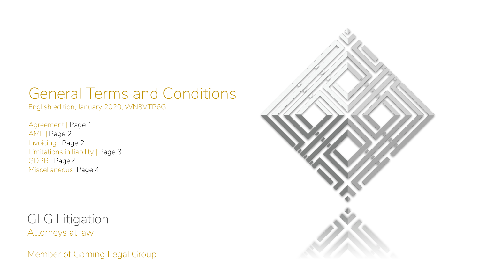# General Terms and Conditions

English edition, January 2020, WN8VTP6G

Agreement | Page 1 AML | Page 2 Invoicing | Page 2 Limitations in liability | Page 3 GDPR | Page 4 Miscellaneous| Page 4

GLG Litigation Attorneys at law

Member of Gaming Legal Group

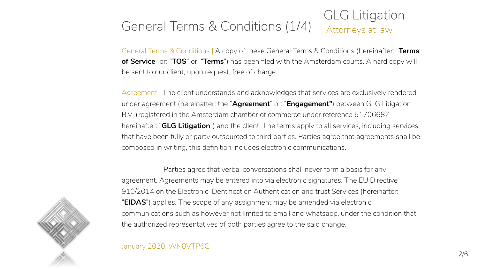#### GLG Litigation General Terms & Conditions  $(1/4)$  Attorneys at law

General Terms & Conditions | A copy of these General Terms & Conditions (hereinafter: "**Terms of Service**" or: "**TOS**" or: "**Terms**") has been filed with the Amsterdam courts. A hard copy will be sent to our client, upon request, free of charge.

Agreement | The client understands and acknowledges that services are exclusively rendered under agreement (hereinafter: the "**Agreement**" or: "**Engagement"**) between GLG Litigation B.V. (registered in the Amsterdam chamber of commerce under reference 51706687, hereinafter: "**GLG Litigation**") and the client. The terms apply to all services, including services that have been fully or party outsourced to third parties. Parties agree that agreements shall be composed in writing, this definition includes electronic communications.

Parties agree that verbal conversations shall never form a basis for any agreement. Agreements may be entered into via electronic signatures. The EU Directive 910/2014 on the Electronic IDentification Authentication and trust Services (hereinafter: "**EIDAS**") applies. The scope of any assignment may be amended via electronic communications such as however not limited to email and whatsapp, under the condition that the authorized representatives of both parties agree to the said change.



January 2020, WN8VTP6G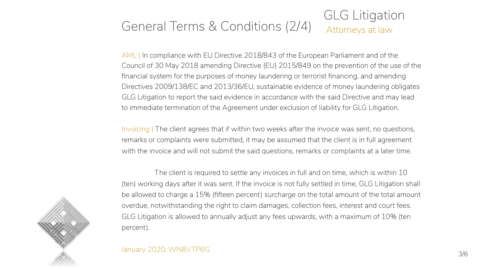#### GLG Litigation General Terms & Conditions  $(2/4)$  Attorneys at law

AML | In compliance with EU Directive 2018/843 of the European Parliament and of the Council of 30 May 2018 amending Directive (EU) 2015/849 on the prevention of the use of the financial system for the purposes of money laundering or terrorist financing, and amending Directives 2009/138/EC and 2013/36/EU, sustainable evidence of money laundering obligates GLG Litigation to report the said evidence in accordance with the said Directive and may lead to immediate termination of the Agreement under exclusion of liability for GLG Litigation.

Invoicing | The client agrees that if within two weeks after the invoice was sent, no questions, remarks or complaints were submitted, it may be assumed that the client is in full agreement with the invoice and will not submit the said questions, remarks or complaints at a later time.

The client is required to settle any invoices in full and on time, which is within 10 (ten) working days after it was sent. If the invoice is not fully settled in time, GLG Litigation shall be allowed to charge a 15% (fifteen percent) surcharge on the total amount of the total amount overdue, notwithstanding the right to claim damages, collection fees, interest and court fees. GLG Litigation is allowed to annually adjust any fees upwards, with a maximum of 10% (ten percent).



#### January 2020, WN8VTP6G 3/6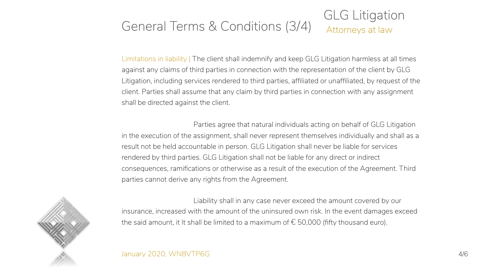#### GLG Litigation General Terms & Conditions  $(3/4)$  Attorneys at law

Limitations in liability | The client shall indemnify and keep GLG Litigation harmless at all times against any claims of third parties in connection with the representation of the client by GLG Litigation, including services rendered to third parties, affiliated or unaffiliated, by request of the client. Parties shall assume that any claim by third parties in connection with any assignment shall be directed against the client.

Parties agree that natural individuals acting on behalf of GLG Litigation in the execution of the assignment, shall never represent themselves individually and shall as a result not be held accountable in person. GLG Litigation shall never be liable for services rendered by third parties. GLG Litigation shall not be liable for any direct or indirect consequences, ramifications or otherwise as a result of the execution of the Agreement. Third parties cannot derive any rights from the Agreement.

Liability shall in any case never exceed the amount covered by our insurance, increased with the amount of the uninsured own risk. In the event damages exceed the said amount, it It shall be limited to a maximum of  $\epsilon$  50,000 (fifty thousand euro).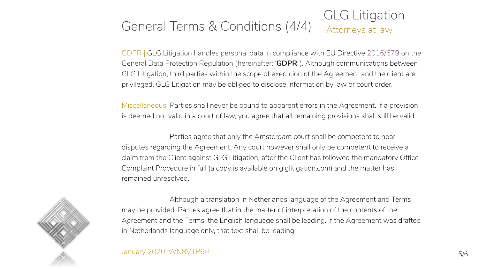#### GLG Litigation General Terms & Conditions  $(4/4)$  Attorneys at law

GDPR | GLG Litigation handles personal data in compliance with EU Directive 2016/679 on the General Data Protection Regulation (hereinafter: '**GDPR**"). Although communications between GLG Litigation, third parties within the scope of execution of the Agreement and the client are privileged, GLG Litigation may be obliged to disclose information by law or court order.

Miscellaneous| Parties shall never be bound to apparent errors in the Agreement. If a provision is deemed not valid in a court of law, you agree that all remaining provisions shall still be valid.

Parties agree that only the Amsterdam court shall be competent to hear disputes regarding the Agreement. Any court however shall only be competent to receive a claim from the Client against GLG Litigation, after the Client has followed the mandatory Office Complaint Procedure in full (a copy is available on glglitigation.com) and the matter has remained unresolved.



Although a translation in Netherlands language of the Agreement and Terms may be provided. Parties agree that in the matter of interpretation of the contents of the Agreement and the Terms, the English language shall be leading. If the Agreement was drafted in Netherlands language only, that text shall be leading.